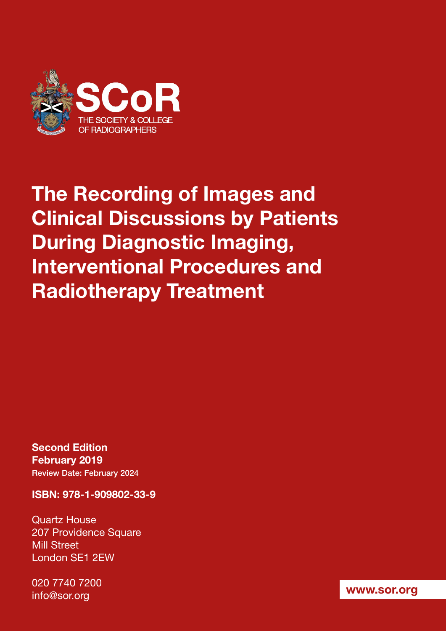

The Recording of Images and Clinical Discussions by Patients During Diagnostic Imaging, Interventional Procedures and Radiotherapy Treatment

Second Edition February 2019 Review Date: February 2024

ISBN: 978-1-909802-33-9

Quartz House 207 Providence Square Mill Street London SE1 2EW

020 7740 7200 info@sor.org

www.sor.org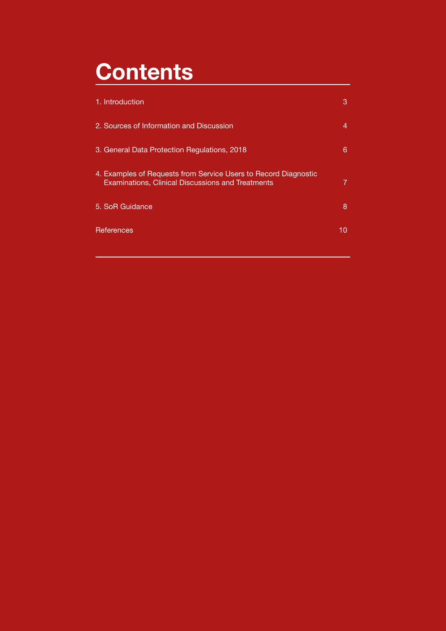# **Contents**

| 1. Introduction                                                                                                                                                                                                                                          | 3                      |
|----------------------------------------------------------------------------------------------------------------------------------------------------------------------------------------------------------------------------------------------------------|------------------------|
| 2. Sources of Information and Discussion<br>3. General Data Protection Regulations, 2018<br>4. Examples of Requests from Service Users to Record Diagnostic<br><b>Examinations, Clinical Discussions and Treatments</b><br>5. SoR Guidance<br>References | 4<br>6<br>7<br>8<br>10 |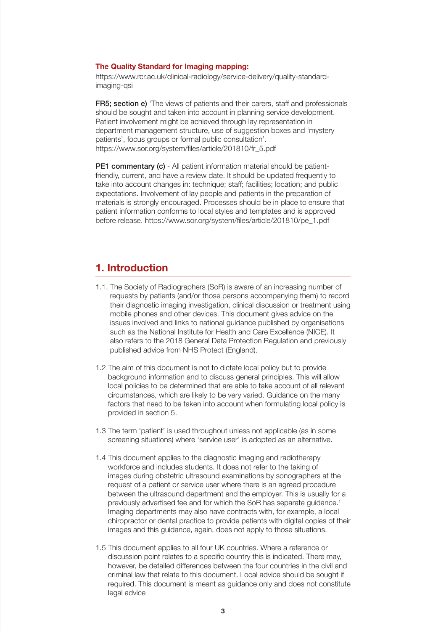#### <span id="page-2-0"></span>The Quality Standard for Imaging mapping:

[https://www.rcr.ac.uk/clinical-radiology/service-delivery/quality-standard](https://www.rcr.ac.uk/clinical-radiology/service-delivery/quality-standard-imaging-qsi)[imaging-qsi](https://www.rcr.ac.uk/clinical-radiology/service-delivery/quality-standard-imaging-qsi)

FR5; section e) 'The views of patients and their carers, staff and professionals should be sought and taken into account in planning service development. Patient involvement might be achieved through lay representation in department management structure, use of suggestion boxes and 'mystery patients', focus groups or formal public consultation'. [https://www.sor.org/system/files/article/201810/fr\\_5.pdf](https://www.sor.org/system/files/article/201810/fr_5.pdf)

**PE1 commentary (c)** - All patient information material should be patientfriendly, current, and have a review date. It should be updated frequently to take into account changes in: technique; staff; facilities; location; and public expectations. Involvement of lay people and patients in the preparation of materials is strongly encouraged. Processes should be in place to ensure that patient information conforms to local styles and templates and is approved before release. [https://www.sor.org/system/files/article/201810/pe\\_1.pdf](https://www.sor.org/system/files/article/201810/pe_1.pdf)

### 1. Introduction

- 1.1. The Society of Radiographers (SoR) is aware of an increasing number of requests by patients (and/or those persons accompanying them) to record their diagnostic imaging investigation, clinical discussion or treatment using mobile phones and other devices. This document gives advice on the issues involved and links to national guidance published by organisations such as the National Institute for Health and Care Excellence (NICE). It also refers to the 2018 General Data Protection Regulation and previously published advice from NHS Protect (England).
- 1.2 The aim of this document is not to dictate local policy but to provide background information and to discuss general principles. This will allow local policies to be determined that are able to take account of all relevant circumstances, which are likely to be very varied. Guidance on the many factors that need to be taken into account when formulating local policy is provided in section 5.
- 1.3 The term 'patient' is used throughout unless not applicable (as in some screening situations) where 'service user' is adopted as an alternative.
- 1.4 This document applies to the diagnostic imaging and radiotherapy workforce and includes students. It does not refer to the taking of images during obstetric ultrasound examinations by sonographers at the request of a patient or service user where there is an agreed procedure between the ultrasound department and the employer. This is usually for a previously advertised fee and for which the SoR has separate guidance.<sup>1</sup> Imaging departments may also have contracts with, for example, a local chiropractor or dental practice to provide patients with digital copies of their images and this guidance, again, does not apply to those situations.
- 1.5 This document applies to all four UK countries. Where a reference or discussion point relates to a specific country this is indicated. There may, however, be detailed differences between the four countries in the civil and criminal law that relate to this document. Local advice should be sought if required. This document is meant as guidance only and does not constitute legal advice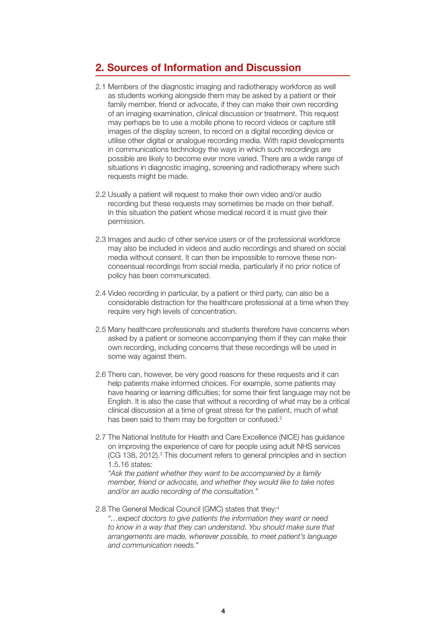## <span id="page-3-0"></span>2. Sources of Information and Discussion

- 2.1 Members of the diagnostic imaging and radiotherapy workforce as well as students working alongside them may be asked by a patient or their family member, friend or advocate, if they can make their own recording of an imaging examination, clinical discussion or treatment. This request may perhaps be to use a mobile phone to record videos or capture still images of the display screen, to record on a digital recording device or utilise other digital or analogue recording media. With rapid developments in communications technology the ways in which such recordings are possible are likely to become ever more varied. There are a wide range of situations in diagnostic imaging, screening and radiotherapy where such requests might be made.
- 2.2 Usually a patient will request to make their own video and/or audio recording but these requests may sometimes be made on their behalf. In this situation the patient whose medical record it is must give their permission.
- 2.3 Images and audio of other service users or of the professional workforce may also be included in videos and audio recordings and shared on social media without consent. It can then be impossible to remove these nonconsensual recordings from social media, particularly if no prior notice of policy has been communicated.
- 2.4 Video recording in particular, by a patient or third party, can also be a considerable distraction for the healthcare professional at a time when they require very high levels of concentration.
- 2.5 Many healthcare professionals and students therefore have concerns when asked by a patient or someone accompanying them if they can make their own recording, including concerns that these recordings will be used in some way against them.
- 2.6 There can, however, be very good reasons for these requests and it can help patients make informed choices. For example, some patients may have hearing or learning difficulties; for some their first language may not be English. It is also the case that without a recording of what may be a critical clinical discussion at a time of great stress for the patient, much of what has been said to them may be forgotten or confused.<sup>2</sup>
- 2.7 The National Institute for Health and Care Excellence (NICE) has guidance on improving the experience of care for people using adult NHS services (CG 138, 2012).<sup>3</sup> This document refers to general principles and in section 1.5.16 states: *"Ask the patient whether they want to be accompanied by a family*

*member, friend or advocate, and whether they would like to take notes and/or an audio recording of the consultation."*

2.8 The General Medical Council (GMC) states that they:4 *"…expect doctors to give patients the information they want or need to know in a way that they can understand. You should make sure that arrangements are made, wherever possible, to meet patient's language and communication needs."*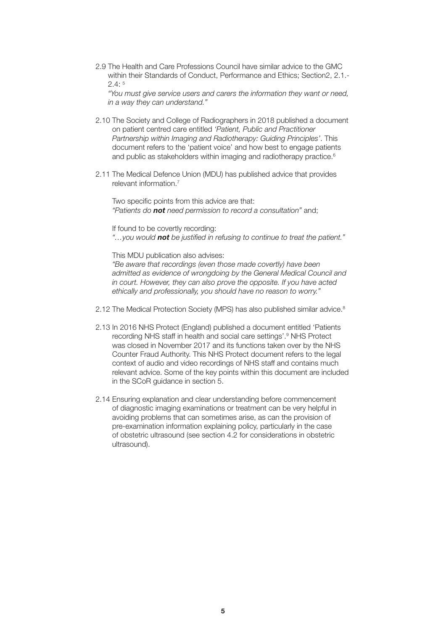2.9 The Health and Care Professions Council have similar advice to the GMC within their Standards of Conduct, Performance and Ethics; Section2, 2.1.-  $24.5$ 

*"You must give service users and carers the information they want or need, in a way they can understand."* 

- 2.10 The Society and College of Radiographers in 2018 published a document on patient centred care entitled *'Patient, Public and Practitioner Partnership within Imaging and Radiotherapy: Guiding Principles'*. This document refers to the 'patient voice' and how best to engage patients and public as stakeholders within imaging and radiotherapy practice.<sup>6</sup>
- 2.11 The Medical Defence Union (MDU) has published advice that provides relevant information.<sup>7</sup>

Two specific points from this advice are that: *"Patients do not need permission to record a consultation"* and;

If found to be covertly recording: *"…you would not be justified in refusing to continue to treat the patient."* 

This MDU publication also advises: *"Be aware that recordings (even those made covertly) have been admitted as evidence of wrongdoing by the General Medical Council and in court. However, they can also prove the opposite. If you have acted ethically and professionally, you should have no reason to worry."*

- 2.12 The Medical Protection Society (MPS) has also published similar advice.<sup>8</sup>
- 2.13 In 2016 NHS Protect (England) published a document entitled 'Patients recording NHS staff in health and social care settings'.<sup>9</sup> NHS Protect was closed in November 2017 and its functions taken over by the NHS Counter Fraud Authority. This NHS Protect document refers to the legal context of audio and video recordings of NHS staff and contains much relevant advice. Some of the key points within this document are included in the SCoR guidance in section 5.
- 2.14 Ensuring explanation and clear understanding before commencement of diagnostic imaging examinations or treatment can be very helpful in avoiding problems that can sometimes arise, as can the provision of pre-examination information explaining policy, particularly in the case of obstetric ultrasound (see section 4.2 for considerations in obstetric ultrasound).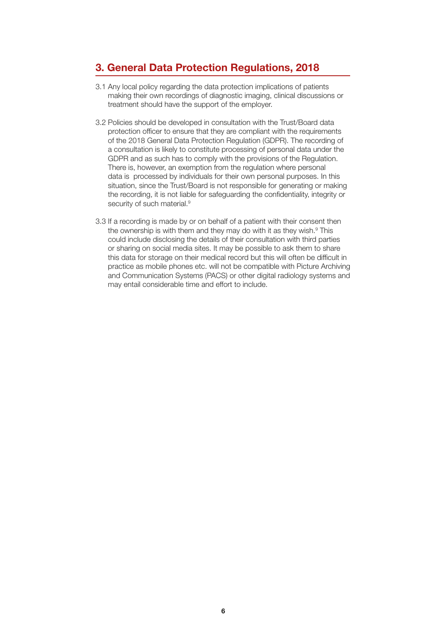## <span id="page-5-0"></span>3. General Data Protection Regulations, 2018

- 3.1 Any local policy regarding the data protection implications of patients making their own recordings of diagnostic imaging, clinical discussions or treatment should have the support of the employer.
- 3.2 Policies should be developed in consultation with the Trust/Board data protection officer to ensure that they are compliant with the requirements of the 2018 General Data Protection Regulation (GDPR). The recording of a consultation is likely to constitute processing of personal data under the GDPR and as such has to comply with the provisions of the Regulation. There is, however, an exemption from the regulation where personal data is processed by individuals for their own personal purposes. In this situation, since the Trust/Board is not responsible for generating or making the recording, it is not liable for safeguarding the confidentiality, integrity or security of such material.<sup>9</sup>
- 3.3 If a recording is made by or on behalf of a patient with their consent then the ownership is with them and they may do with it as they wish.<sup>9</sup> This could include disclosing the details of their consultation with third parties or sharing on social media sites. It may be possible to ask them to share this data for storage on their medical record but this will often be difficult in practice as mobile phones etc. will not be compatible with Picture Archiving and Communication Systems (PACS) or other digital radiology systems and may entail considerable time and effort to include.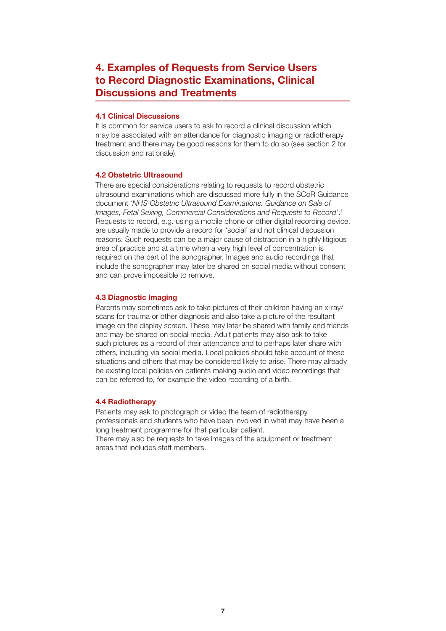## <span id="page-6-0"></span>4. Examples of Requests from Service Users to Record Diagnostic Examinations, Clinical Discussions and Treatments

#### 4.1 Clinical Discussions

It is common for service users to ask to record a clinical discussion which may be associated with an attendance for diagnostic imaging or radiotherapy treatment and there may be good reasons for them to do so (see section 2 for discussion and rationale).

#### 4.2 Obstetric Ultrasound

There are special considerations relating to requests to record obstetric ultrasound examinations which are discussed more fully in the SCoR Guidance document *'NHS Obstetric Ultrasound Examinations. Guidance on Sale of Images, Fetal Sexing, Commercial Considerations and Requests to Record'*. 1 Requests to record, e.g. using a mobile phone or other digital recording device, are usually made to provide a record for 'social' and not clinical discussion reasons. Such requests can be a major cause of distraction in a highly litigious area of practice and at a time when a very high level of concentration is required on the part of the sonographer. Images and audio recordings that include the sonographer may later be shared on social media without consent and can prove impossible to remove.

#### 4.3 Diagnostic Imaging

Parents may sometimes ask to take pictures of their children having an x-ray/ scans for trauma or other diagnosis and also take a picture of the resultant image on the display screen. These may later be shared with family and friends and may be shared on social media. Adult patients may also ask to take such pictures as a record of their attendance and to perhaps later share with others, including via social media. Local policies should take account of these situations and others that may be considered likely to arise. There may already be existing local policies on patients making audio and video recordings that can be referred to, for example the video recording of a birth.

#### 4.4 Radiotherapy

Patients may ask to photograph or video the team of radiotherapy professionals and students who have been involved in what may have been a long treatment programme for that particular patient.

There may also be requests to take images of the equipment or treatment areas that includes staff members.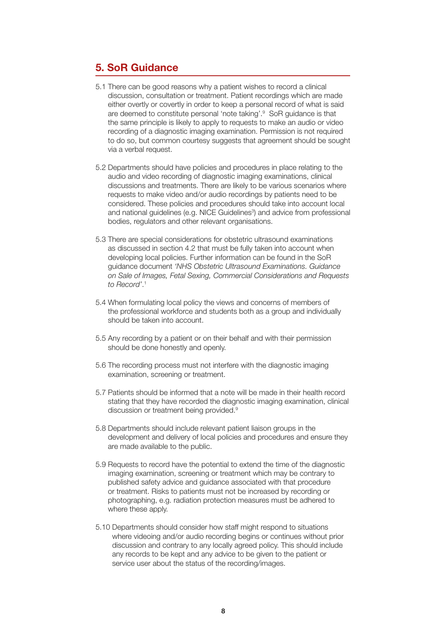## <span id="page-7-0"></span>5. SoR Guidance

- 5.1 There can be good reasons why a patient wishes to record a clinical discussion, consultation or treatment. Patient recordings which are made either overtly or covertly in order to keep a personal record of what is said are deemed to constitute personal 'note taking'.<sup>9</sup> SoR guidance is that the same principle is likely to apply to requests to make an audio or video recording of a diagnostic imaging examination. Permission is not required to do so, but common courtesy suggests that agreement should be sought via a verbal request.
- 5.2 Departments should have policies and procedures in place relating to the audio and video recording of diagnostic imaging examinations, clinical discussions and treatments. There are likely to be various scenarios where requests to make video and/or audio recordings by patients need to be considered. These policies and procedures should take into account local and national guidelines (e.g. NICE Guidelines<sup>3</sup>) and advice from professional bodies, regulators and other relevant organisations.
- 5.3 There are special considerations for obstetric ultrasound examinations as discussed in section 4.2 that must be fully taken into account when developing local policies. Further information can be found in the SoR guidance document *'NHS Obstetric Ultrasound Examinations. Guidance on Sale of Images, Fetal Sexing, Commercial Considerations and Requests to Record'*. 1
- 5.4 When formulating local policy the views and concerns of members of the professional workforce and students both as a group and individually should be taken into account.
- 5.5 Any recording by a patient or on their behalf and with their permission should be done honestly and openly.
- 5.6 The recording process must not interfere with the diagnostic imaging examination, screening or treatment.
- 5.7 Patients should be informed that a note will be made in their health record stating that they have recorded the diagnostic imaging examination, clinical discussion or treatment being provided.9
- 5.8 Departments should include relevant patient liaison groups in the development and delivery of local policies and procedures and ensure they are made available to the public.
- 5.9 Requests to record have the potential to extend the time of the diagnostic imaging examination, screening or treatment which may be contrary to published safety advice and guidance associated with that procedure or treatment. Risks to patients must not be increased by recording or photographing, e.g. radiation protection measures must be adhered to where these apply.
- 5.10 Departments should consider how staff might respond to situations where videoing and/or audio recording begins or continues without prior discussion and contrary to any locally agreed policy. This should include any records to be kept and any advice to be given to the patient or service user about the status of the recording/images.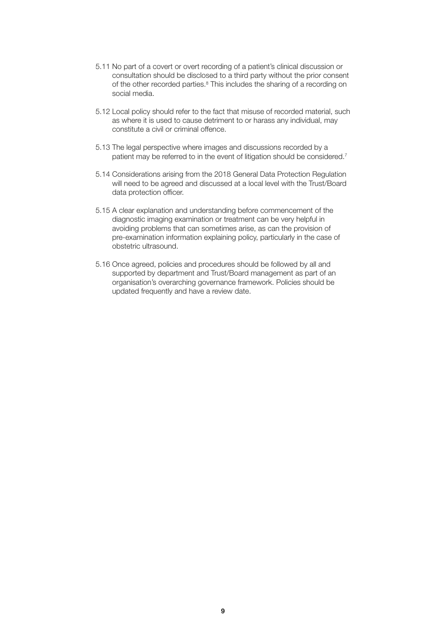- 5.11 No part of a covert or overt recording of a patient's clinical discussion or consultation should be disclosed to a third party without the prior consent of the other recorded parties.<sup>8</sup> This includes the sharing of a recording on social media.
- 5.12 Local policy should refer to the fact that misuse of recorded material, such as where it is used to cause detriment to or harass any individual, may constitute a civil or criminal offence.
- 5.13 The legal perspective where images and discussions recorded by a patient may be referred to in the event of litigation should be considered.<sup>7</sup>
- 5.14 Considerations arising from the 2018 General Data Protection Regulation will need to be agreed and discussed at a local level with the Trust/Board data protection officer.
- 5.15 A clear explanation and understanding before commencement of the diagnostic imaging examination or treatment can be very helpful in avoiding problems that can sometimes arise, as can the provision of pre-examination information explaining policy, particularly in the case of obstetric ultrasound.
- 5.16 Once agreed, policies and procedures should be followed by all and supported by department and Trust/Board management as part of an organisation's overarching governance framework. Policies should be updated frequently and have a review date.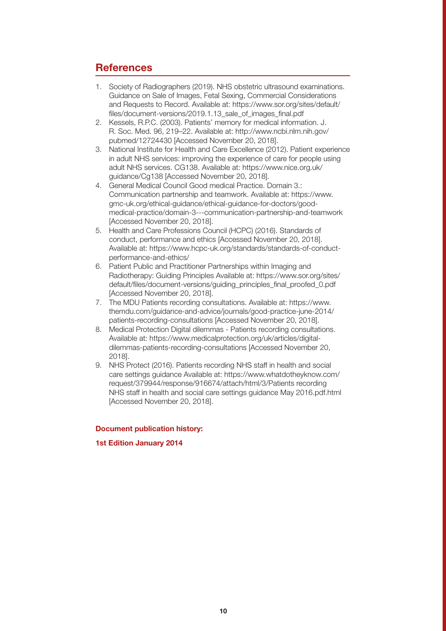## <span id="page-9-0"></span>**References**

- 1. Society of Radiographers (2019). NHS obstetric ultrasound examinations. Guidance on Sale of Images, Fetal Sexing, Commercial Considerations and Requests to Record. Available at: [https://www.sor.org/sites/default/](https://www.sor.org/sites/default/files/document-versions/2019.1.13_sale_of_images_final.pdf) [files/document-versions/2019.1.13\\_sale\\_of\\_images\\_final.pdf](https://www.sor.org/sites/default/files/document-versions/2019.1.13_sale_of_images_final.pdf)
- 2. Kessels, R.P.C. (2003). Patients' memory for medical information. J. R. Soc. Med. 96, 219–22. Available at: [http://www.ncbi.nlm.nih.gov/](http://www.ncbi.nlm.nih.gov/pubmed/12724430) [pubmed/12724430](http://www.ncbi.nlm.nih.gov/pubmed/12724430) [Accessed November 20, 2018].
- 3. National Institute for Health and Care Excellence (2012). Patient experience in adult NHS services: improving the experience of care for people using adult NHS services. CG138. Available at: [https://www.nice.org.uk/](https://www.nice.org.uk/guidance/Cg138) [guidance/Cg138](https://www.nice.org.uk/guidance/Cg138) [Accessed November 20, 2018].
- 4. General Medical Council Good medical Practice. Domain 3.: Communication partnership and teamwork. Available at: [https://www.](https://www.gmc-uk.org/ethical-guidance/ethical-guidance-for-doctors/good-medical-practice/domain-3---communication-partnership-and-teamwork) [gmc-uk.org/ethical-guidance/ethical-guidance-for-doctors/good](https://www.gmc-uk.org/ethical-guidance/ethical-guidance-for-doctors/good-medical-practice/domain-3---communication-partnership-and-teamwork)[medical-practice/domain-3---communication-partnership-and-teamwork](https://www.gmc-uk.org/ethical-guidance/ethical-guidance-for-doctors/good-medical-practice/domain-3---communication-partnership-and-teamwork) [Accessed November 20, 2018].
- 5. Health and Care Professions Council (HCPC) (2016). Standards of conduct, performance and ethics [Accessed November 20, 2018]. Available at: [https://www.hcpc-uk.org/standards/standards-of-conduct](https://www.hcpc-uk.org/standards/standards-of-conduct-performance-and-ethics/)[performance-and-ethics/](https://www.hcpc-uk.org/standards/standards-of-conduct-performance-and-ethics/)
- 6. Patient Public and Practitioner Partnerships within Imaging and Radiotherapy: Guiding Principles Available at: [https://www.sor.org/sites/](https://www.sor.org/sites/default/files/document-versions/guiding_principles_final_proofed_0.pdf) [default/files/document-versions/guiding\\_principles\\_final\\_proofed\\_0.pdf](https://www.sor.org/sites/default/files/document-versions/guiding_principles_final_proofed_0.pdf) [Accessed November 20, 2018].
- 7. The MDU Patients recording consultations. Available at: [https://www.](https://www.themdu.com/guidance-and-advice/journals/good-practice-june-2014/patients-recording-consultations) [themdu.com/guidance-and-advice/journals/good-practice-june-2014/](https://www.themdu.com/guidance-and-advice/journals/good-practice-june-2014/patients-recording-consultations) [patients-recording-consultations](https://www.themdu.com/guidance-and-advice/journals/good-practice-june-2014/patients-recording-consultations) [Accessed November 20, 2018].
- 8. Medical Protection Digital dilemmas Patients recording consultations. Available at: [https://www.medicalprotection.org/uk/articles/digital](https://www.medicalprotection.org/uk/articles/digital-dilemmas-patients-recording-consultations)[dilemmas-patients-recording-consultations](https://www.medicalprotection.org/uk/articles/digital-dilemmas-patients-recording-consultations) [Accessed November 20, 2018].
- 9. NHS Protect (2016). Patients recording NHS staff in health and social care settings guidance Available at: [https://www.whatdotheyknow.com/](https://www.whatdotheyknow.com/request/379944/response/916674/attach/html/3/Patients recording NHS staff in health and social care settings guidance May 2016.pdf.html) [request/379944/response/916674/attach/html/3/Patients recording](https://www.whatdotheyknow.com/request/379944/response/916674/attach/html/3/Patients recording NHS staff in health and social care settings guidance May 2016.pdf.html)  [NHS staff in health and social care settings guidance May 2016.pdf.html](https://www.whatdotheyknow.com/request/379944/response/916674/attach/html/3/Patients recording NHS staff in health and social care settings guidance May 2016.pdf.html) [Accessed November 20, 2018].

#### Document publication history:

#### 1st Edition January 2014